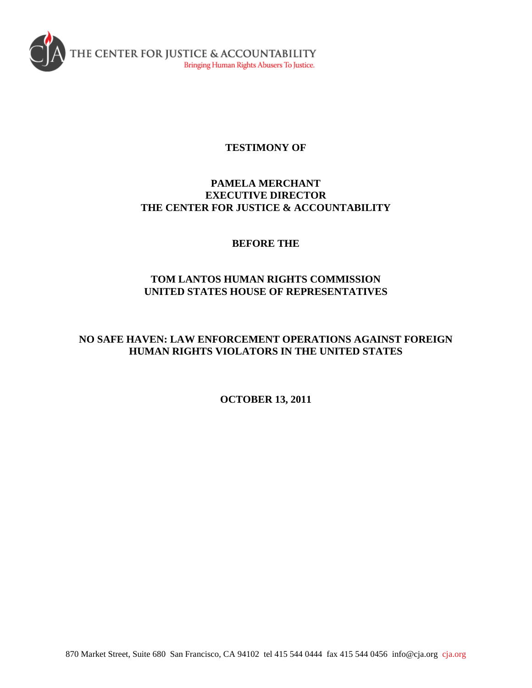

# **TESTIMONY OF**

# **PAMELA MERCHANT EXECUTIVE DIRECTOR THE CENTER FOR JUSTICE & ACCOUNTABILITY**

# **BEFORE THE**

# **TOM LANTOS HUMAN RIGHTS COMMISSION UNITED STATES HOUSE OF REPRESENTATIVES**

# **NO SAFE HAVEN: LAW ENFORCEMENT OPERATIONS AGAINST FOREIGN HUMAN RIGHTS VIOLATORS IN THE UNITED STATES**

**OCTOBER 13, 2011**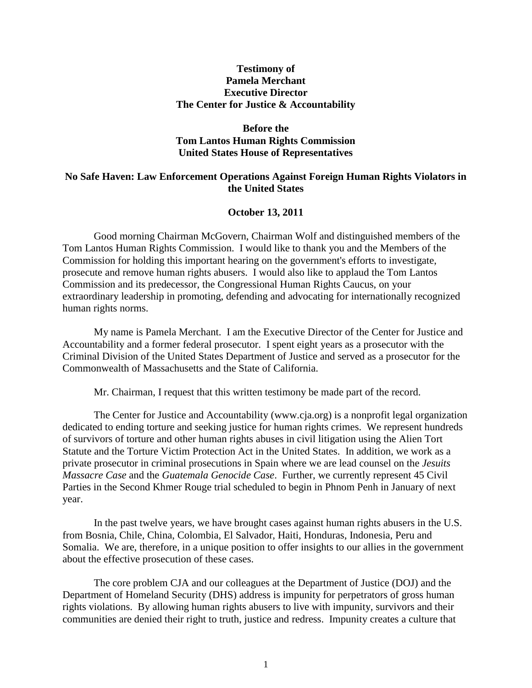## **Testimony of Pamela Merchant Executive Director The Center for Justice & Accountability**

## **Before the Tom Lantos Human Rights Commission United States House of Representatives**

## **No Safe Haven: Law Enforcement Operations Against Foreign Human Rights Violators in the United States**

#### **October 13, 2011**

Good morning Chairman McGovern, Chairman Wolf and distinguished members of the Tom Lantos Human Rights Commission. I would like to thank you and the Members of the Commission for holding this important hearing on the government's efforts to investigate, prosecute and remove human rights abusers. I would also like to applaud the Tom Lantos Commission and its predecessor, the Congressional Human Rights Caucus, on your extraordinary leadership in promoting, defending and advocating for internationally recognized human rights norms.

My name is Pamela Merchant. I am the Executive Director of the Center for Justice and Accountability and a former federal prosecutor. I spent eight years as a prosecutor with the Criminal Division of the United States Department of Justice and served as a prosecutor for the Commonwealth of Massachusetts and the State of California.

Mr. Chairman, I request that this written testimony be made part of the record.

The Center for Justice and Accountability (www.cja.org) is a nonprofit legal organization dedicated to ending torture and seeking justice for human rights crimes. We represent hundreds of survivors of torture and other human rights abuses in civil litigation using the Alien Tort Statute and the Torture Victim Protection Act in the United States. In addition, we work as a private prosecutor in criminal prosecutions in Spain where we are lead counsel on the *Jesuits Massacre Case* and the *Guatemala Genocide Case*. Further, we currently represent 45 Civil Parties in the Second Khmer Rouge trial scheduled to begin in Phnom Penh in January of next year.

In the past twelve years, we have brought cases against human rights abusers in the U.S. from Bosnia, Chile, China, Colombia, El Salvador, Haiti, Honduras, Indonesia, Peru and Somalia. We are, therefore, in a unique position to offer insights to our allies in the government about the effective prosecution of these cases.

The core problem CJA and our colleagues at the Department of Justice (DOJ) and the Department of Homeland Security (DHS) address is impunity for perpetrators of gross human rights violations. By allowing human rights abusers to live with impunity, survivors and their communities are denied their right to truth, justice and redress. Impunity creates a culture that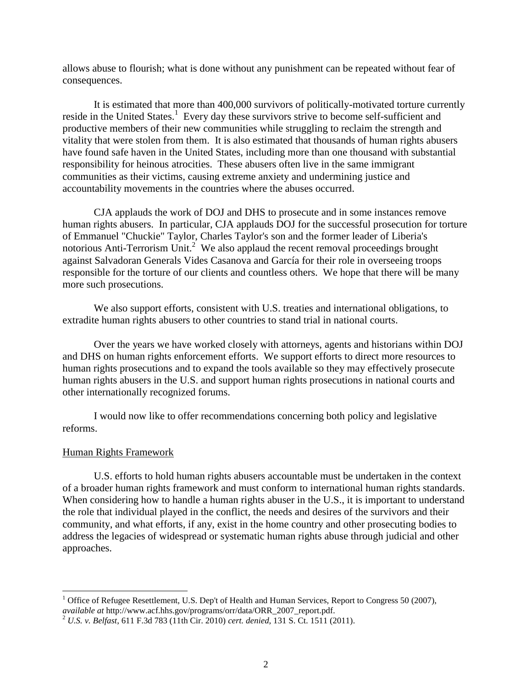allows abuse to flourish; what is done without any punishment can be repeated without fear of consequences.

It is estimated that more than 400,000 survivors of politically-motivated torture currently reside in the United States.<sup>1</sup> Every day these survivors strive to become self-sufficient and productive members of their new communities while struggling to reclaim the strength and vitality that were stolen from them. It is also estimated that thousands of human rights abusers have found safe haven in the United States, including more than one thousand with substantial responsibility for heinous atrocities. These abusers often live in the same immigrant communities as their victims, causing extreme anxiety and undermining justice and accountability movements in the countries where the abuses occurred.

CJA applauds the work of DOJ and DHS to prosecute and in some instances remove human rights abusers. In particular, CJA applauds DOJ for the successful prosecution for torture of Emmanuel "Chuckie" Taylor, Charles Taylor's son and the former leader of Liberia's notorious Anti-Terrorism Unit.<sup>2</sup> We also applaud the recent removal proceedings brought against Salvadoran Generals Vides Casanova and García for their role in overseeing troops responsible for the torture of our clients and countless others. We hope that there will be many more such prosecutions.

We also support efforts, consistent with U.S. treaties and international obligations, to extradite human rights abusers to other countries to stand trial in national courts.

Over the years we have worked closely with attorneys, agents and historians within DOJ and DHS on human rights enforcement efforts. We support efforts to direct more resources to human rights prosecutions and to expand the tools available so they may effectively prosecute human rights abusers in the U.S. and support human rights prosecutions in national courts and other internationally recognized forums.

I would now like to offer recommendations concerning both policy and legislative reforms.

#### Human Rights Framework

l

U.S. efforts to hold human rights abusers accountable must be undertaken in the context of a broader human rights framework and must conform to international human rights standards. When considering how to handle a human rights abuser in the U.S., it is important to understand the role that individual played in the conflict, the needs and desires of the survivors and their community, and what efforts, if any, exist in the home country and other prosecuting bodies to address the legacies of widespread or systematic human rights abuse through judicial and other approaches.

<sup>&</sup>lt;sup>1</sup> Office of Refugee Resettlement, U.S. Dep't of Health and Human Services, Report to Congress 50 (2007), *available at* http://www.acf.hhs.gov/programs/orr/data/ORR\_2007\_report.pdf.

<sup>2</sup> *U.S. v. Belfast*, 611 F.3d 783 (11th Cir. 2010) *cert. denied*, 131 S. Ct. 1511 (2011).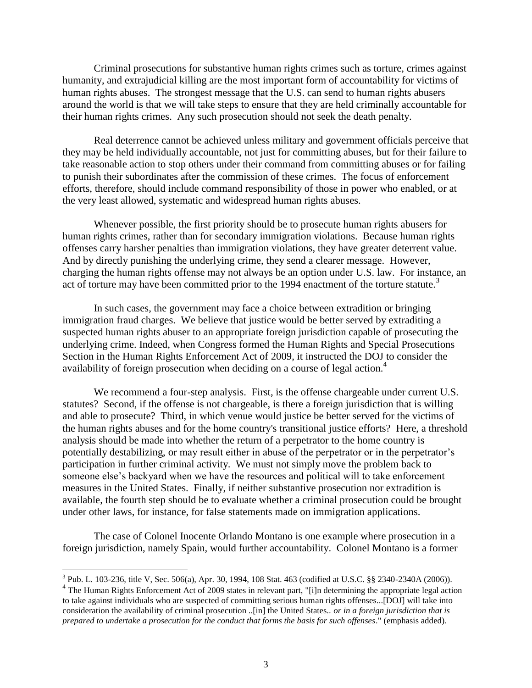Criminal prosecutions for substantive human rights crimes such as torture, crimes against humanity, and extrajudicial killing are the most important form of accountability for victims of human rights abuses. The strongest message that the U.S. can send to human rights abusers around the world is that we will take steps to ensure that they are held criminally accountable for their human rights crimes. Any such prosecution should not seek the death penalty.

Real deterrence cannot be achieved unless military and government officials perceive that they may be held individually accountable, not just for committing abuses, but for their failure to take reasonable action to stop others under their command from committing abuses or for failing to punish their subordinates after the commission of these crimes. The focus of enforcement efforts, therefore, should include command responsibility of those in power who enabled, or at the very least allowed, systematic and widespread human rights abuses.

Whenever possible, the first priority should be to prosecute human rights abusers for human rights crimes, rather than for secondary immigration violations. Because human rights offenses carry harsher penalties than immigration violations, they have greater deterrent value. And by directly punishing the underlying crime, they send a clearer message. However, charging the human rights offense may not always be an option under U.S. law. For instance, an act of torture may have been committed prior to the 1994 enactment of the torture statute.<sup>3</sup>

In such cases, the government may face a choice between extradition or bringing immigration fraud charges. We believe that justice would be better served by extraditing a suspected human rights abuser to an appropriate foreign jurisdiction capable of prosecuting the underlying crime. Indeed, when Congress formed the Human Rights and Special Prosecutions Section in the Human Rights Enforcement Act of 2009, it instructed the DOJ to consider the availability of foreign prosecution when deciding on a course of legal action.<sup>4</sup>

We recommend a four-step analysis. First, is the offense chargeable under current U.S. statutes? Second, if the offense is not chargeable, is there a foreign jurisdiction that is willing and able to prosecute? Third, in which venue would justice be better served for the victims of the human rights abuses and for the home country's transitional justice efforts? Here, a threshold analysis should be made into whether the return of a perpetrator to the home country is potentially destabilizing, or may result either in abuse of the perpetrator or in the perpetrator's participation in further criminal activity. We must not simply move the problem back to someone else's backyard when we have the resources and political will to take enforcement measures in the United States. Finally, if neither substantive prosecution nor extradition is available, the fourth step should be to evaluate whether a criminal prosecution could be brought under other laws, for instance, for false statements made on immigration applications.

The case of Colonel Inocente Orlando Montano is one example where prosecution in a foreign jurisdiction, namely Spain, would further accountability. Colonel Montano is a former

l

<sup>&</sup>lt;sup>3</sup> Pub. L. 103-236, title V, Sec. 506(a), Apr. 30, 1994, 108 Stat. 463 (codified at U.S.C. §§ 2340-2340A (2006)).

<sup>&</sup>lt;sup>4</sup> The Human Rights Enforcement Act of 2009 states in relevant part, "[i]n determining the appropriate legal action to take against individuals who are suspected of committing serious human rights offenses...[DOJ] will take into consideration the availability of criminal prosecution ..[in] the United States.. *or in a foreign jurisdiction that is prepared to undertake a prosecution for the conduct that forms the basis for such offenses*." (emphasis added).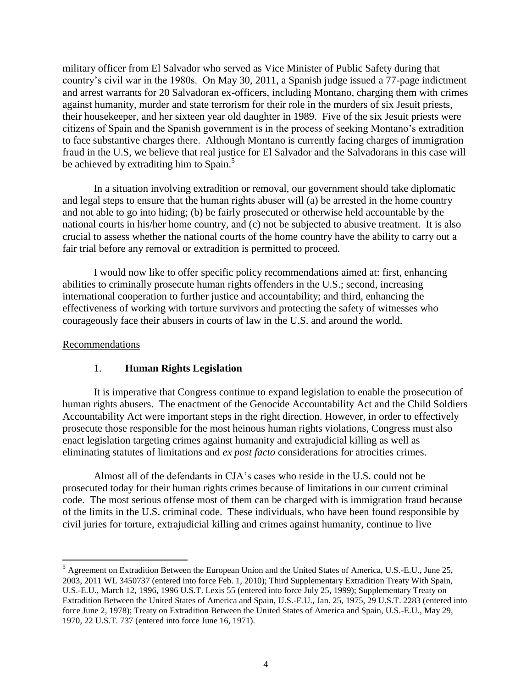military officer from El Salvador who served as Vice Minister of Public Safety during that country's civil war in the 1980s. On May 30, 2011, a Spanish judge issued a 77-page indictment and arrest warrants for 20 Salvadoran ex-officers, including Montano, charging them with crimes against humanity, murder and state terrorism for their role in the murders of six Jesuit priests, their housekeeper, and her sixteen year old daughter in 1989. Five of the six Jesuit priests were citizens of Spain and the Spanish government is in the process of seeking Montano's extradition to face substantive charges there. Although Montano is currently facing charges of immigration fraud in the U.S, we believe that real justice for El Salvador and the Salvadorans in this case will be achieved by extraditing him to Spain.<sup>5</sup>

In a situation involving extradition or removal, our government should take diplomatic and legal steps to ensure that the human rights abuser will (a) be arrested in the home country and not able to go into hiding; (b) be fairly prosecuted or otherwise held accountable by the national courts in his/her home country, and (c) not be subjected to abusive treatment. It is also crucial to assess whether the national courts of the home country have the ability to carry out a fair trial before any removal or extradition is permitted to proceed.

I would now like to offer specific policy recommendations aimed at: first, enhancing abilities to criminally prosecute human rights offenders in the U.S.; second, increasing international cooperation to further justice and accountability; and third, enhancing the effectiveness of working with torture survivors and protecting the safety of witnesses who courageously face their abusers in courts of law in the U.S. and around the world.

#### Recommendations

l

## 1. **Human Rights Legislation**

It is imperative that Congress continue to expand legislation to enable the prosecution of human rights abusers. The enactment of the Genocide Accountability Act and the Child Soldiers Accountability Act were important steps in the right direction. However, in order to effectively prosecute those responsible for the most heinous human rights violations, Congress must also enact legislation targeting crimes against humanity and extrajudicial killing as well as eliminating statutes of limitations and *ex post facto* considerations for atrocities crimes.

Almost all of the defendants in CJA's cases who reside in the U.S. could not be prosecuted today for their human rights crimes because of limitations in our current criminal code. The most serious offense most of them can be charged with is immigration fraud because of the limits in the U.S. criminal code. These individuals, who have been found responsible by civil juries for torture, extrajudicial killing and crimes against humanity, continue to live

<sup>5</sup> Agreement on Extradition Between the European Union and the United States of America, U.S.-E.U., June 25, 2003, 2011 WL 3450737 (entered into force Feb. 1, 2010); Third Supplementary Extradition Treaty With Spain, U.S.-E.U., March 12, 1996, 1996 U.S.T. Lexis 55 (entered into force July 25, 1999); Supplementary Treaty on Extradition Between the United States of America and Spain, U.S.-E.U., Jan. 25, 1975, 29 U.S.T. 2283 (entered into force June 2, 1978); Treaty on Extradition Between the United States of America and Spain, U.S.-E.U., May 29, 1970, 22 U.S.T. 737 (entered into force June 16, 1971).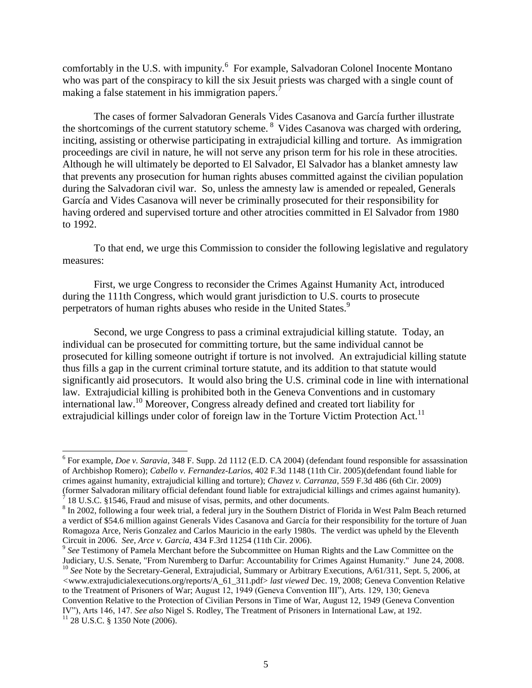comfortably in the U.S. with impunity.<sup>6</sup> For example, Salvadoran Colonel Inocente Montano who was part of the conspiracy to kill the six Jesuit priests was charged with a single count of making a false statement in his immigration papers.<sup>7</sup>

The cases of former Salvadoran Generals Vides Casanova and García further illustrate the shortcomings of the current statutory scheme. <sup>8</sup> Vides Casanova was charged with ordering, inciting, assisting or otherwise participating in extrajudicial killing and torture. As immigration proceedings are civil in nature, he will not serve any prison term for his role in these atrocities. Although he will ultimately be deported to El Salvador, El Salvador has a blanket amnesty law that prevents any prosecution for human rights abuses committed against the civilian population during the Salvadoran civil war. So, unless the amnesty law is amended or repealed, Generals García and Vides Casanova will never be criminally prosecuted for their responsibility for having ordered and supervised torture and other atrocities committed in El Salvador from 1980 to 1992.

To that end, we urge this Commission to consider the following legislative and regulatory measures:

First, we urge Congress to reconsider the Crimes Against Humanity Act, introduced during the 111th Congress, which would grant jurisdiction to U.S. courts to prosecute perpetrators of human rights abuses who reside in the United States.<sup>9</sup>

Second, we urge Congress to pass a criminal extrajudicial killing statute. Today, an individual can be prosecuted for committing torture, but the same individual cannot be prosecuted for killing someone outright if torture is not involved. An extrajudicial killing statute thus fills a gap in the current criminal torture statute, and its addition to that statute would significantly aid prosecutors. It would also bring the U.S. criminal code in line with international law. Extrajudicial killing is prohibited both in the Geneva Conventions and in customary international law.<sup>10</sup> Moreover, Congress already defined and created tort liability for extrajudicial killings under color of foreign law in the Torture Victim Protection Act.<sup>11</sup>

l

<sup>6</sup> For example, *Doe v. Saravia*, 348 F. Supp. 2d 1112 (E.D. CA 2004) (defendant found responsible for assassination of Archbishop Romero); *Cabello v. Fernandez-Larios*, 402 F.3d 1148 (11th Cir. 2005)(defendant found liable for crimes against humanity, extrajudicial killing and torture); *Chavez v. Carranza*, 559 F.3d 486 (6th Cir. 2009) (former Salvadoran military official defendant found liable for extrajudicial killings and crimes against humanity).  $7$  18 U.S.C. §1546, Fraud and misuse of visas, permits, and other documents.

 $8 \text{ In } 2002$ , following a four week trial, a federal jury in the Southern District of Florida in West Palm Beach returned a verdict of \$54.6 million against Generals Vides Casanova and García for their responsibility for the torture of Juan Romagoza Arce, Neris Gonzalez and Carlos Mauricio in the early 1980s. The verdict was upheld by the Eleventh Circuit in 2006. *See, Arce v. Garcia,* 434 F.3rd 11254 (11th Cir. 2006).

<sup>&</sup>lt;sup>9</sup> See Testimony of Pamela Merchant before the Subcommittee on Human Rights and the Law Committee on the Judiciary, U.S. Senate, "From Nuremberg to Darfur: Accountability for Crimes Against Humanity." June 24, 2008. <sup>10</sup> See Note by the Secretary-General, Extrajudicial, Summary or Arbitrary Executions, A/61/311, Sept. 5, 2006, at *<*www.extrajudicialexecutions.org/reports/A\_61\_311.pdf> *last viewed* Dec. 19, 2008; Geneva Convention Relative to the Treatment of Prisoners of War; August 12, 1949 (Geneva Convention III"), Arts. 129, 130; Geneva Convention Relative to the Protection of Civilian Persons in Time of War, August 12, 1949 (Geneva Convention IV"), Arts 146, 147. *See also* Nigel S. Rodley, The Treatment of Prisoners in International Law, at 192.  $11$  28 U.S.C. § 1350 Note (2006).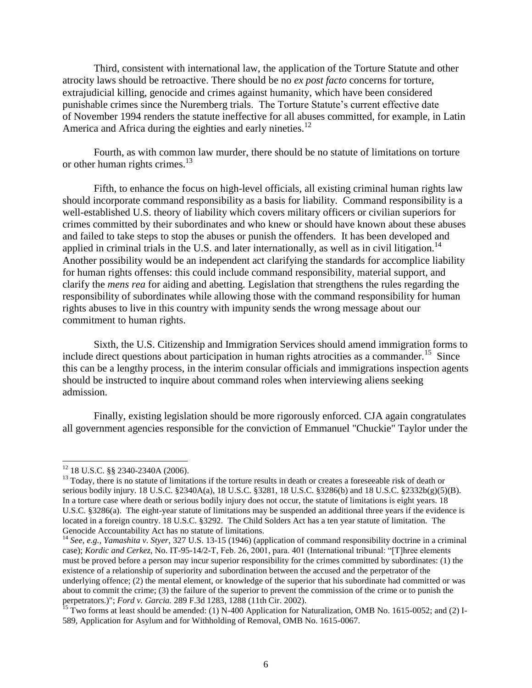Third, consistent with international law, the application of the Torture Statute and other atrocity laws should be retroactive. There should be no *ex post facto* concerns for torture, extrajudicial killing, genocide and crimes against humanity, which have been considered punishable crimes since the Nuremberg trials. The Torture Statute's current effective date of November 1994 renders the statute ineffective for all abuses committed, for example, in Latin America and Africa during the eighties and early nineties.<sup>12</sup>

Fourth, as with common law murder, there should be no statute of limitations on torture or other human rights crimes. $^{13}$ 

Fifth, to enhance the focus on high-level officials, all existing criminal human rights law should incorporate command responsibility as a basis for liability. Command responsibility is a well-established U.S. theory of liability which covers military officers or civilian superiors for crimes committed by their subordinates and who knew or should have known about these abuses and failed to take steps to stop the abuses or punish the offenders. It has been developed and applied in criminal trials in the U.S. and later internationally, as well as in civil litigation.<sup>14</sup> Another possibility would be an independent act clarifying the standards for accomplice liability for human rights offenses: this could include command responsibility, material support, and clarify the *mens rea* for aiding and abetting. Legislation that strengthens the rules regarding the responsibility of subordinates while allowing those with the command responsibility for human rights abuses to live in this country with impunity sends the wrong message about our commitment to human rights.

Sixth, the U.S. Citizenship and Immigration Services should amend immigration forms to include direct questions about participation in human rights atrocities as a commander.<sup>15</sup> Since this can be a lengthy process, in the interim consular officials and immigrations inspection agents should be instructed to inquire about command roles when interviewing aliens seeking admission.

Finally, existing legislation should be more rigorously enforced. CJA again congratulates all government agencies responsible for the conviction of Emmanuel "Chuckie" Taylor under the

 $\overline{a}$ 

 $12$  18 U.S.C. §§ 2340-2340A (2006).

<sup>&</sup>lt;sup>13</sup> Today, there is no statute of limitations if the torture results in death or creates a foreseeable risk of death or serious bodily injury. 18 U.S.C. §2340A(a), 18 U.S.C. §3281, 18 U.S.C. §3286(b) and 18 U.S.C. §2332b(g)(5)(B). In a torture case where death or serious bodily injury does not occur, the statute of limitations is eight years. 18 U.S.C. §3286(a). The eight-year statute of limitations may be suspended an additional three years if the evidence is located in a foreign country. 18 U.S.C. §3292. The Child Solders Act has a ten year statute of limitation. The Genocide Accountability Act has no statute of limitations.

<sup>&</sup>lt;sup>14</sup> See, e.g., Yamashita v. Styer, 327 U.S. 13-15 (1946) (application of command responsibility doctrine in a criminal case); *Kordic and Cerkez*, No. IT-95-14/2-T, Feb. 26, 2001, para. 401 (International tribunal: "[T]hree elements must be proved before a person may incur superior responsibility for the crimes committed by subordinates: (1) the existence of a relationship of superiority and subordination between the accused and the perpetrator of the underlying offence; (2) the mental element, or knowledge of the superior that his subordinate had committed or was about to commit the crime; (3) the failure of the superior to prevent the commission of the crime or to punish the perpetrators.)"; *Ford v. Garcia.* 289 F.3d 1283, 1288 (11th Cir. 2002).

 $15$  Two forms at least should be amended: (1) N-400 Application for Naturalization, OMB No. 1615-0052; and (2) I-589, Application for Asylum and for Withholding of Removal, OMB No. 1615-0067.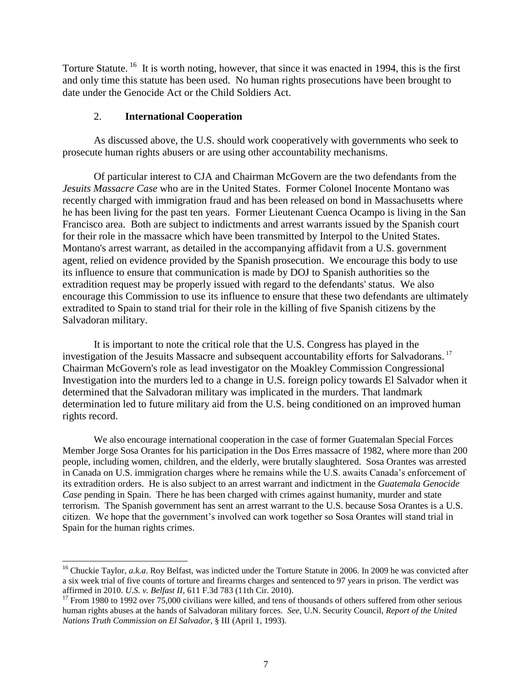Torture Statute.<sup>16</sup> It is worth noting, however, that since it was enacted in 1994, this is the first and only time this statute has been used. No human rights prosecutions have been brought to date under the Genocide Act or the Child Soldiers Act.

### 2. **International Cooperation**

l

As discussed above, the U.S. should work cooperatively with governments who seek to prosecute human rights abusers or are using other accountability mechanisms.

Of particular interest to CJA and Chairman McGovern are the two defendants from the *Jesuits Massacre Case* who are in the United States. Former Colonel Inocente Montano was recently charged with immigration fraud and has been released on bond in Massachusetts where he has been living for the past ten years. Former Lieutenant Cuenca Ocampo is living in the San Francisco area. Both are subject to indictments and arrest warrants issued by the Spanish court for their role in the massacre which have been transmitted by Interpol to the United States. Montano's arrest warrant, as detailed in the accompanying affidavit from a U.S. government agent, relied on evidence provided by the Spanish prosecution. We encourage this body to use its influence to ensure that communication is made by DOJ to Spanish authorities so the extradition request may be properly issued with regard to the defendants' status. We also encourage this Commission to use its influence to ensure that these two defendants are ultimately extradited to Spain to stand trial for their role in the killing of five Spanish citizens by the Salvadoran military.

It is important to note the critical role that the U.S. Congress has played in the investigation of the Jesuits Massacre and subsequent accountability efforts for Salvadorans. 17 Chairman McGovern's role as lead investigator on the Moakley Commission Congressional Investigation into the murders led to a change in U.S. foreign policy towards El Salvador when it determined that the Salvadoran military was implicated in the murders. That landmark determination led to future military aid from the U.S. being conditioned on an improved human rights record.

We also encourage international cooperation in the case of former Guatemalan Special Forces Member Jorge Sosa Orantes for his participation in the Dos Erres massacre of 1982, where more than 200 people, including women, children, and the elderly, were brutally slaughtered. Sosa Orantes was arrested in Canada on U.S. immigration charges where he remains while the U.S. awaits Canada's enforcement of its extradition orders. He is also subject to an arrest warrant and indictment in the *Guatemala Genocide Case* pending in Spain. There he has been charged with crimes against humanity, murder and state terrorism. The Spanish government has sent an arrest warrant to the U.S. because Sosa Orantes is a U.S. citizen. We hope that the government's involved can work together so Sosa Orantes will stand trial in Spain for the human rights crimes.

<sup>&</sup>lt;sup>16</sup> Chuckie Taylor, *a.k.a*. Roy Belfast, was indicted under the Torture Statute in 2006. In 2009 he was convicted after a six week trial of five counts of torture and firearms charges and sentenced to 97 years in prison. The verdict was affirmed in 2010. *U.S. v. Belfast II*, 611 F.3d 783 (11th Cir. 2010).

<sup>&</sup>lt;sup>17</sup> From 1980 to 1992 over  $75,000$  civilians were killed, and tens of thousands of others suffered from other serious human rights abuses at the hands of Salvadoran military forces. *See*, U.N. Security Council, *Report of the United Nations Truth Commission on El Salvador*, § III (April 1, 1993).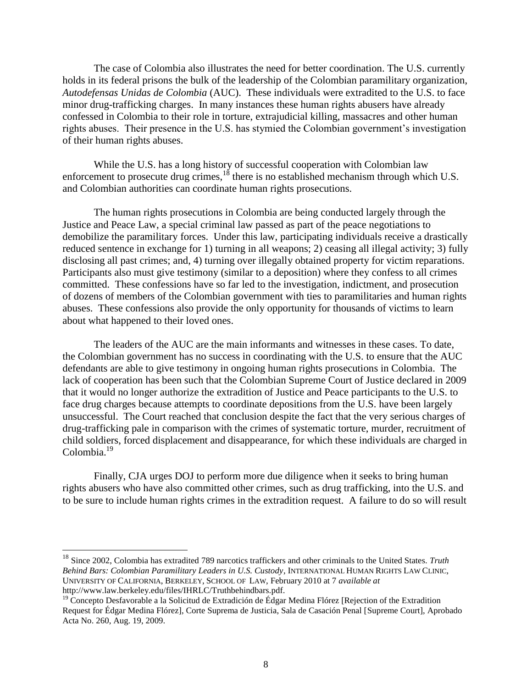The case of Colombia also illustrates the need for better coordination. The U.S. currently holds in its federal prisons the bulk of the leadership of the Colombian paramilitary organization, *Autodefensas Unidas de Colombia* (AUC). These individuals were extradited to the U.S. to face minor drug-trafficking charges. In many instances these human rights abusers have already confessed in Colombia to their role in torture, extrajudicial killing, massacres and other human rights abuses. Their presence in the U.S. has stymied the Colombian government's investigation of their human rights abuses.

While the U.S. has a long history of successful cooperation with Colombian law enforcement to prosecute drug crimes,  $18$  there is no established mechanism through which U.S. and Colombian authorities can coordinate human rights prosecutions.

The human rights prosecutions in Colombia are being conducted largely through the Justice and Peace Law, a special criminal law passed as part of the peace negotiations to demobilize the paramilitary forces. Under this law, participating individuals receive a drastically reduced sentence in exchange for 1) turning in all weapons; 2) ceasing all illegal activity; 3) fully disclosing all past crimes; and, 4) turning over illegally obtained property for victim reparations. Participants also must give testimony (similar to a deposition) where they confess to all crimes committed. These confessions have so far led to the investigation, indictment, and prosecution of dozens of members of the Colombian government with ties to paramilitaries and human rights abuses. These confessions also provide the only opportunity for thousands of victims to learn about what happened to their loved ones.

The leaders of the AUC are the main informants and witnesses in these cases. To date, the Colombian government has no success in coordinating with the U.S. to ensure that the AUC defendants are able to give testimony in ongoing human rights prosecutions in Colombia. The lack of cooperation has been such that the Colombian Supreme Court of Justice declared in 2009 that it would no longer authorize the extradition of Justice and Peace participants to the U.S. to face drug charges because attempts to coordinate depositions from the U.S. have been largely unsuccessful. The Court reached that conclusion despite the fact that the very serious charges of drug-trafficking pale in comparison with the crimes of systematic torture, murder, recruitment of child soldiers, forced displacement and disappearance, for which these individuals are charged in Colombia.<sup>19</sup>

Finally, CJA urges DOJ to perform more due diligence when it seeks to bring human rights abusers who have also committed other crimes, such as drug trafficking, into the U.S. and to be sure to include human rights crimes in the extradition request. A failure to do so will result

<sup>18</sup> Since 2002, Colombia has extradited 789 narcotics traffickers and other criminals to the United States. *Truth Behind Bars: Colombian Paramilitary Leaders in U.S. Custody*, INTERNATIONAL HUMAN RIGHTS LAW CLINIC, UNIVERSITY OF CALIFORNIA, BERKELEY, SCHOOL OF LAW, February 2010 at 7 *available at*  http://www.law.berkeley.edu/files/IHRLC/Truthbehindbars.pdf.

 $\overline{a}$ 

 $19$  Concepto Desfavorable a la Solicitud de Extradición de Édgar Medina Flórez [Rejection of the Extradition Request for Édgar Medina Flórez], Corte Suprema de Justicia, Sala de Casación Penal [Supreme Court], Aprobado Acta No. 260, Aug. 19, 2009.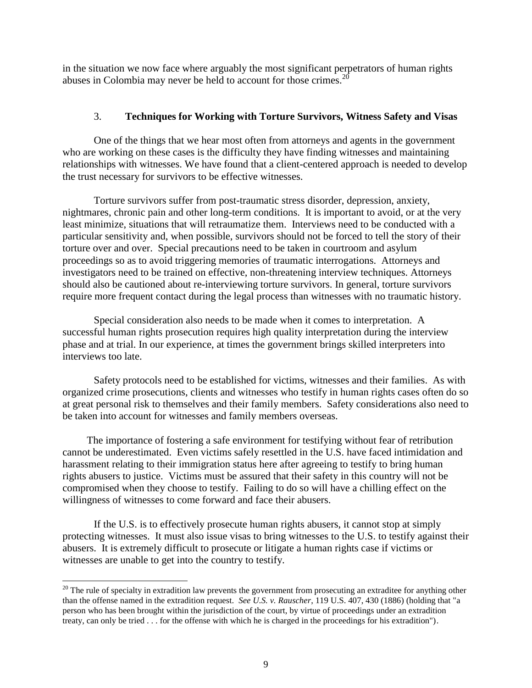in the situation we now face where arguably the most significant perpetrators of human rights abuses in Colombia may never be held to account for those crimes.<sup>20</sup>

## 3. **Techniques for Working with Torture Survivors, Witness Safety and Visas**

One of the things that we hear most often from attorneys and agents in the government who are working on these cases is the difficulty they have finding witnesses and maintaining relationships with witnesses. We have found that a client-centered approach is needed to develop the trust necessary for survivors to be effective witnesses.

Torture survivors suffer from post-traumatic stress disorder, depression, anxiety, nightmares, chronic pain and other long-term conditions. It is important to avoid, or at the very least minimize, situations that will retraumatize them. Interviews need to be conducted with a particular sensitivity and, when possible, survivors should not be forced to tell the story of their torture over and over. Special precautions need to be taken in courtroom and asylum proceedings so as to avoid triggering memories of traumatic interrogations. Attorneys and investigators need to be trained on effective, non-threatening interview techniques. Attorneys should also be cautioned about re-interviewing torture survivors. In general, torture survivors require more frequent contact during the legal process than witnesses with no traumatic history.

Special consideration also needs to be made when it comes to interpretation. A successful human rights prosecution requires high quality interpretation during the interview phase and at trial. In our experience, at times the government brings skilled interpreters into interviews too late.

Safety protocols need to be established for victims, witnesses and their families. As with organized crime prosecutions, clients and witnesses who testify in human rights cases often do so at great personal risk to themselves and their family members. Safety considerations also need to be taken into account for witnesses and family members overseas.

The importance of fostering a safe environment for testifying without fear of retribution cannot be underestimated. Even victims safely resettled in the U.S. have faced intimidation and harassment relating to their immigration status here after agreeing to testify to bring human rights abusers to justice. Victims must be assured that their safety in this country will not be compromised when they choose to testify. Failing to do so will have a chilling effect on the willingness of witnesses to come forward and face their abusers.

If the U.S. is to effectively prosecute human rights abusers, it cannot stop at simply protecting witnesses. It must also issue visas to bring witnesses to the U.S. to testify against their abusers. It is extremely difficult to prosecute or litigate a human rights case if victims or witnesses are unable to get into the country to testify.

 $\overline{a}$ 

 $20$  The rule of specialty in extradition law prevents the government from prosecuting an extraditee for anything other than the offense named in the extradition request. *See U.S. v. Rauscher*, 119 U.S. 407, 430 (1886) (holding that "a person who has been brought within the jurisdiction of the court, by virtue of proceedings under an extradition treaty, can only be tried . . . for the offense with which he is charged in the proceedings for his extradition").